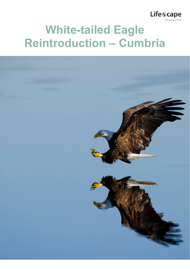

# **White-tailed Eagle Reintroduction – Cumbria**

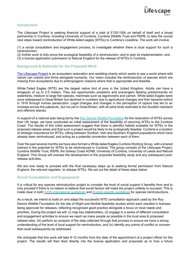

#### **Introduction**

The Lifescape Project is seeking financial support of a total of £120-150k on behalf of itself and a broad partnership in Cumbria, including University of Cumbria, Cumbria Wildlife Trust and RSPB, to take the crucial next steps toward reintroduction of White-tailed eagles (WTEs) to Cumbria's coastline. The work will involve:

(1) a social consultation and engagement process, to investigate whether there is local support for such a reintroduction;

(2) further work to fully prove the ecological feasibility of a reintroduction, and to plan its implementation; and

(3) a license application submission to Natural England for the release of WTEs in Cumbria.

#### **Background & Rationale for the Proposed Work**

[The Lifescape](http://www.lifescapeproject.org/) Project is an ecosystem restoration and rewilding charity which wants to see a world where wild nature can coexist and thrive alongside humanity. Our vision includes the reintroduction of species which are missing from ecosystems due to anthropogenic reasons where that is appropriate and feasible.

White-Tailed Eagles (WTE) are the largest native bird of prey in the United Kingdom. Adults can have a wingspan of up to 2.5 meters. They are opportunistic predators and scavengers feeding predominantly on waterbirds, medium to large fish species, mammals such as lagomorphs and carrion. White-tailed Eagles were once widespread in Great Britain but declined in numbers due to agricultural changes and then became extinct in 1916 through human persecution. Legal changes and changes in the perception of raptors has led to an increase across the palearctic, but not yet in Great Britain, with all adult birds restricted to the Scottish mainland and offshore islands.

In support of a national plan being led by the Roy Dennis Wildlife [Foundation](https://www.roydennis.org/) for the restoration of WTEs across their UK range, we have conducted an initial assessment of the feasibility of returning WTEs to the Cumbria Coast. The results of this initial assessment suggest that there is plentiful habitat available for WTEs in the proposed release areas and that such a project would be likely to be ecologically feasible. Cumbria is a location of strategic importance for WTEs, sitting between Scottish, Irish and Southern England populations which have already been reintroduced, and acting as a potential connection between each of them.

Over the past several months we have also formed a White-tailed Eagles Cumbria Working Group, with a shared interest in the potential for WTEs to be reintroduced in Cumbria. The group consists of the Lifescape Project, Cumbria Wildlife Trust, RSPB, the Solway Coast AONB, University of Cumbria, University of Leeds and Natural England. This Group will oversee the development of the proposed feasibility study and any subsequent postrelease activities.

We are now ready to proceed with the final necessary steps up to seeking formal permission from Natural England, the relevant regulator, to release WTEs. We set out the detail of these steps below:

## **Social Consultation and Engagement**

It is critical for any species reintroduction project to consider the level of social support it benefits from and to only proceed if there is no reason to believe that social factors will make the project unlikely to succeed. This is made clear in both IUCN [international](https://www.iucn.org/content/guidelines-reintroductions-and-other-conservation-translocations) guidelines and [English-specific](https://www.gov.uk/government/publications/reintroductions-and-conservation-translocations-in-england-code-guidance-and-forms) guidelines for species reintroductions.

As a result, we intend to build on and adapt the successful WTE consultation approach used by the Roy Dennis Wildlife Foundation for the Isle of Wight and Norfolk feasibility studies which each resulted in licenses being approved for releases, reflecting recognised good practice alongside a focus on local needs and priorities. During the project we will: (i) map key stakeholders, (ii) engage in a series of different consultation and engagement activities to ensure we reach as many people as possible in the local area to proposed release sites, (iii) perform an analysis of the data collected through that process to ensure we have a strong understanding of the level of local support for reintroduction, and (iv) identify any points of conflict or concern that could subsequently be addressed.

We anticipate that this work will take 9-12 months from the date of the appointment of a project officer for the project. The results will then feed directly into the license application and proposals as to how a future